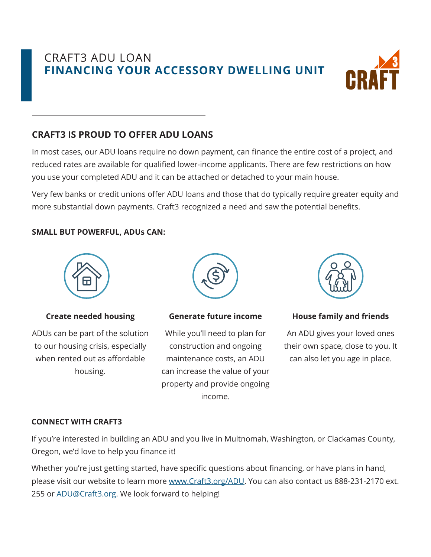# CRAFT3 ADU LOAN **FINANCING YOUR ACCESSORY DWELLING UNIT**



# **CRAFT3 IS PROUD TO OFFER ADU LOANS**

In most cases, our ADU loans require no down payment, can finance the entire cost of a project, and reduced rates are available for qualified lower-income applicants. There are few restrictions on how you use your completed ADU and it can be attached or detached to your main house.

Very few banks or credit unions offer ADU loans and those that do typically require greater equity and more substantial down payments. Craft3 recognized a need and saw the potential benefits.

# **SMALL BUT POWERFUL, ADUs CAN:**



# **Create needed housing**

ADUs can be part of the solution to our housing crisis, especially when rented out as affordable housing.



#### **Generate future income**

While you'll need to plan for construction and ongoing maintenance costs, an ADU can increase the value of your property and provide ongoing income.



# **House family and friends**

An ADU gives your loved ones their own space, close to you. It can also let you age in place.

# **CONNECT WITH CRAFT3**

If you're interested in building an ADU and you live in Multnomah, Washington, or Clackamas County, Oregon, we'd love to help you finance it!

Whether you're just getting started, have specific questions about financing, or have plans in hand, please visit our website to learn more www.Craft3.org/ADU. You can also contact us 888-231-2170 ext. 255 or **ADU@Craft3.org**. We look forward to helping!